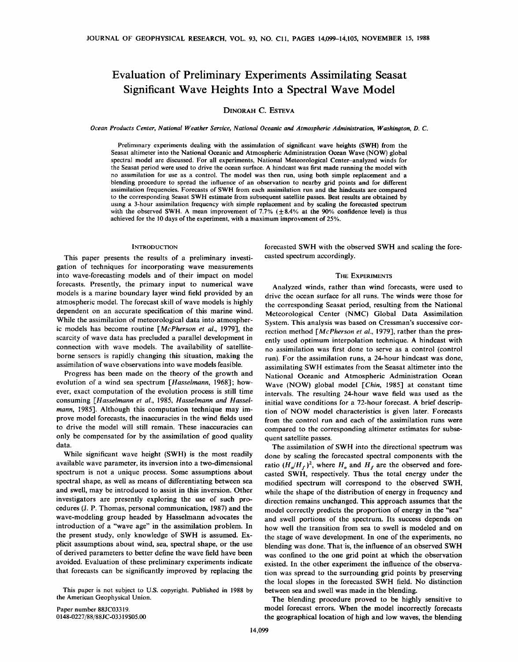# **Evaluation of Preliminary Experiments Assimilating Seasat Significant Wave Heights Into a Spectral Wave Model**

## **DINORAH C. ESTEVA**

**Ocean Products Center, National Weather Service, National Oceanic and Atmospheric Administration, Washington, D.C.** 

**Preliminary experiments dealing with the assimilation of significant wave heights (SWH) from the Seasat altimeter into the National Oceanic and Atmospheric Administration Ocean Wave (NOW) global spectral model are discussed. For all experiments, National Meteorological Center-analyzed winds for the Seasat period were used to drive the ocean surface. A hindcast was first made running the model with no assimilation for use as a control. The model was then run, using both simple replacement and a blending procedure to spread the influence of an observation to nearby grid points and for different assimilation frequencies. Forecasts of SWH from each assimilation run and the hindcasts are compared to the corresponding Seasat SWH estimate from subsequent satellite passes. Best results are obtained by using a 3-hour assimilation frequency with simple replacement and by scaling the forecasted spectrum**  with the observed SWH. A mean improvement of  $7.7\%$  ( $\pm 8.4\%$  at the 90% confidence level) is thus **achieved for the 10 days of the experiment, with a maximum improvement of 25%.** 

## **INTRODUCTION**

**This paper presents the results of a preliminary investigation of techniques for incorporating wave measurements into wave-forecasting models and of their impact on model forecasts. Presently, the primary input to numerical wave models is a marine boundary layer wind field provided by an atmospheric model. The forecast skill of wave models is highly dependent on an accurate specification of this marine wind. While the assimilation of meteorological data into atmospheric models has become routine [McPherson et al., 1979], the scarcity of wave data has precluded a parallel development in connection with wave models. The availability of satelliteborne sensors is rapidly changing this situation, making the assimilation of wave observations into wave models feasible.** 

**Progress has been made on the theory of the growth and evolution of a wind sea spectrum [Hasselmann, 1968]; however, exact computation of the evolution process is still time consuming [Hasselmann et al., 1985, Hasselmann and Hasselmann, 1985]. Although this computation technique may improve model forecasts, the inaccuracies in the wind fields used to drive the model will still remain. These inaccuracies can only be compensated for by the assimilation of good quality data.** 

**While significant wave height (SWH) is the most readily available wave parameter, its inversion into a two-dimensional spectrum is not a unique process. Some assumptions about spectral shape, as well as means of differentiating between sea and swell, may be introduced to assist in this inversion. Other investigators are presently exploring the use of such procedures (J.P. Thomas, personal communication, 1987) and the wave-modeling group headed by Hasselmann advocates the introduction of a "wave age" in the assimilation problem. In the present study, only knowledge of SWH is assumed. Explicit assumptions about wind, sea, spectral shape, or the use of derived parameters to better define the wave field have been avoided. Evaluation of these preliminary experiments indicate that forecasts can be significantly improved by replacing the** 

**This paper is not subject to U.S. copyright. Published in 1988 by the American Geophysical Union.** 

**Paper number 88JC03319. 0148-0227/88/88J C-03319505.00**  **forecasted SWH with the observed SWH and scaling the forecasted spectrum accordingly.** 

#### **THE EXPERIMENTS**

**Analyzed winds, rather than wind forecasts, were used to drive the ocean surface for all runs. The winds were those for the corresponding Seasat period, resulting from the National Meteorological Center (NMC) Global Data Assimilation System. This analysis was based on Cressman's successive correction method [McPherson et al., 1979], rather than the presently used optimum interpolation technique. A hindcast with no assimilation was first done to serve as a control (control run). For the assimilation runs, a 24-hour hindcast was done, assimilating SWH estimates from the Seasat altimeter into the National Oceanic and Atmospheric Administration Ocean**  Wave (NOW) global model [Chin, 1985] at constant time **intervals. The resulting 24-hour wave field was used as the initial wave conditions for a 72-hour forecast. A brief description of NOW model characteristics is given later. Forecasts from the control run and each of the assimilation runs were compared to the corresponding altimeter estimates for subsequent satellite passes.** 

**The assimilation of SWH into the directional spectrum was done by scaling the forecasted spectral components with the**  ratio  $(H_o/H_f)^2$ , where  $H_o$  and  $H_f$  are the observed and fore**casted SWH, respectively. Thus the total energy under the modified spectrum will correspond to the observed SWH, while the shape of the distribution of energy in frequency and direction remains unchanged. This approach assumes that the**  model correctly predicts the proportion of energy in the "sea" **and swell portions of the spectrum. Its success depends on how well the transition from sea to swell is modeled and on the stage of wave development. In one of the experiments, no blending was done. That is, the influence of an observed SWH was confined to the one grid point at which the observation existed. In the other experiment the influence of the observation was spread to the surrounding grid points by preserving the local slopes in the forecasted SWH field. No distinction between sea and swell was made in the blending.** 

**The blending procedure proved to be highly sensitive to model forecast errors. When the model incorrectly forecasts the geographical location of high and low waves, the blending**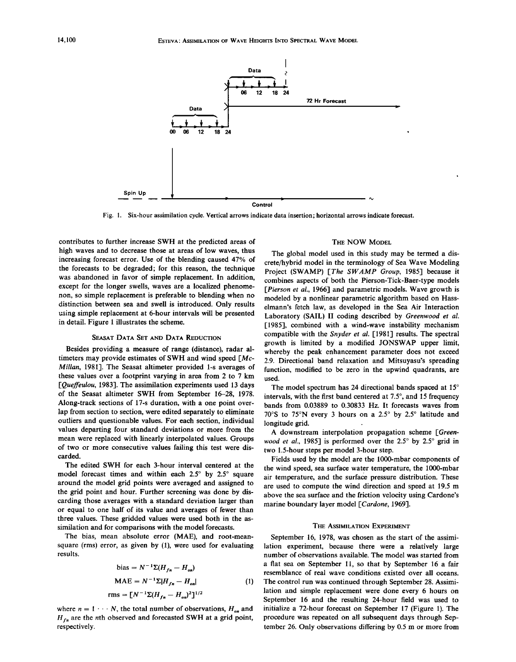

**Fig. 1. Six-hour assimilation cycle. Vertical arrows indicate data insertion; horizontal arrows indicate forecast.** 

**contributes to further increase SWH at the predicted areas of high waves and to decrease those at areas of low waves, thus increasing forecast error. Use of the blending caused 47% of the forecasts to be degraded; for this reason, the technique was abandoned in favor of simple replacement. In addition, except for the longer swells, waves are a localized phenomenon, so simple replacement is preferable to blending when no distinction between sea and swell is introduced. Only results using simple replacement at 6-hour intervals will be presented in detail. Figure 1 illustrates the scheme.** 

## **SEASAT DATA SET AND DATA REDUCTION**

**Besides providing a measure of range (distance), radar al**timeters may provide estimates of SWH and wind speed  $\lceil Mc - \rceil$ **Millan, 1981]. The Seasat altimeter provided 1-s averages of these values over a footprint varying in area from 2 to 7 km •Oueffeulou, 1983]. The assimilation experiments used 13 days of the Seasat altimeter SWH from September 16-28, 1978. Along-track sections of 17-s duration, with a one point overlap from section to section, were edited separately to eliminate outliers and questionable values. For each section, individual values departing four standard deviations or more from the mean were replaced with linearly interpolated values. Groups of two or more consecutive values failing this test were discarded.** 

**The edited SWH for each 3-hour interval centered at the**  model forecast times and within each 2.5° by 2.5° square **around the model grid points were averaged and assigned to the grid point and hour. Further screening was done by discarding those averages with a standard deviation larger than or equal to one half of its value and averages of fewer than three values. These gridded values were used both in the assimilation and for comparisons with the model forecasts.** 

**The bias, mean absolute error (MAE), and root-meansquare (rms) error, as given by (1), were used for evaluating results.** 

bias = 
$$
N^{-1}\Sigma(H_{fn} - H_{on})
$$
  
\nMAE =  $N^{-1}\Sigma[H_{fn} - H_{on}]$  (1)  
\nrms =  $[N^{-1}\Sigma(H_{fn} - H_{on})^2]^{1/2}$ 

where  $n = 1 \cdots N$ , the total number of observations,  $H_{on}$  and  $H_{fn}$  are the *n*th observed and forecasted SWH at a grid point, **respectively.** 

#### **THE NOW MODEL**

**The global model used in this study may be termed a discrete/hybrid model in the terminology of Sea Wave Modeling**  Project (SWAMP) [The SWAMP Group, 1985] because it **combines aspects of both the Pierson-Tick-Baer-type models [Pierson et al., 1966] and parametric models. Wave growth is modeled by a nonlinear parametric algorithm based on Hasselmann's fetch law, as developed in the Sea Air Interaction Laboratory (SAIL) II coding described by Greenwood et al. [1985], combined with a wind-wave instability mechanism compatible with the Snyder et al. [1981] results. The spectral growth is limited by a modified JONSWAP upper limit, whereby the peak enhancement parameter does not exceed 2.9. Directional band relaxation and Mitsuyasu's spreading function, modified to be zero in the upwind quadrants, are used.** 

The model spectrum has 24 directional bands spaced at 15° intervals, with the first band centered at 7.5°, and 15 frequency **bands from 0.03889 to 0.30833 Hz. It forecasts waves from**  70°S to 75°N every 3 hours on a 2.5° by 2.5° latitude and longitude grid.

**A downstream interpolation propagation scheme [Green**wood et al., 1985] is performed over the 2.5<sup>°</sup> by 2.5<sup>°</sup> grid in **two 1.5-hour steps per model 3-hour step.** 

**Fields used by the model are the 1000-mbar components of the wind speed, sea surface water temperature, the 1000-mbar**  air temperature, and the surface pressure distribution. These **are used to compute the wind direction and speed at 19.5 m above the sea surface and the friction velocity using Cardone's marine boundary layer model [Cardone, 1969].** 

## **THE ASSIMILATION EXPERIMENT**

**September 16, 1978, was chosen as the start of the assimilation experiment, because there were a relatively large number of observations available. The model was started from a flat sea on September 11, so that by September 16 a fair resemblance of real wave conditions existed over all oceans. The control run was continued through September 28. Assimilation and simple replacement were done every 6 hours on September 16 and the resulting 24-hour field was used to initialize a 72-hour forecast on September 17 (Figure 1). The procedure was repeated on all subsequent days through September 26. Only observations differing by 0.5 m or more from**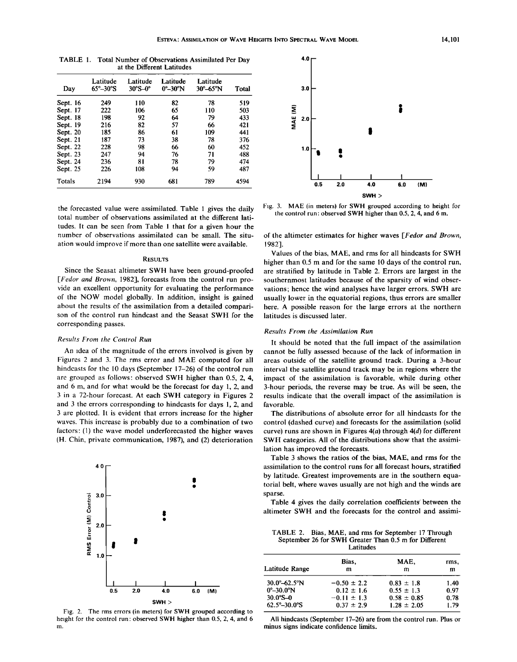| Dav      | Latitude<br>65°–30°S | Latitude<br>$30^\circ S - 0^\circ$ | Latitude<br>$0^{\circ}$ – 30 $^{\circ}$ N | Latitude<br>30°–65°N | Total |
|----------|----------------------|------------------------------------|-------------------------------------------|----------------------|-------|
| Sept. 16 | 249                  | 110                                | 82                                        | 78                   | 519   |
| Sept. 17 | 222                  | 106                                | 65                                        | 110                  | 503   |
| Sept. 18 | 198                  | 92                                 | 64                                        | 79                   | 433   |
| Sept. 19 | 216                  | 82                                 | 57                                        | 66                   | 421   |
| Sept. 20 | 185                  | 86                                 | 61                                        | 109                  | 441   |
| Sept. 21 | 187                  | 73                                 | 38                                        | 78                   | 376   |
| Sept. 22 | 228                  | 98                                 | 66                                        | 60                   | 452   |
| Sept. 23 | 247                  | 94                                 | 76                                        | 71                   | 488   |
| Sept. 24 | 236                  | 81                                 | 78                                        | 79                   | 474   |
| Sept. 25 | 226                  | 108                                | 94                                        | 59                   | 487   |
| Totals   | 2194                 | 930                                | 681                                       | 789                  | 4594  |

**TABLE 1. Total Number of Observations Assimilated Per Day at the Different Latitudes** 

**the forecasted value were assimilated. Table 1 gives the daily total number of observations assimilated at the different latitudes. It can be seen from Table 1 that for a given hour the number of observations assimilated can be small. The situation would improve if more than one satellite were available.** 

## **RESULTS**

**Since the Seasat altimeter SWH have been ground-proofed [Fedor and Brown, 1982], forecasts from the control run provide an excellent opportunity for evaluating the performance of the NOW model globally. In addition, insight is gained about the results of the assimilation from a detailed comparison of the control run hindcast and the Seasat SWH for the corresponding passes.** 

## **Results From the Control Run**

**An idea of the magnitude of the errors involved is given by Figures 2 and 3. The rms error and MAE computed for all hindcasts for the 10 days (September 17-26) of the control run are grouped as follows: observed SWH higher than 0.5, 2, 4, and 6 m, and for what would be the forecast for day 1, 2, and 3 in a 72-hour forecast. At each SWH category in Figures 2 and 3 the errors corresponding to hindcasts for days 1, 2, and 3 are plotted. It is evident that errors increase for the higher waves. This increase is probably due to a combination of two factors: (1) the wave model underforecasted the higher waves (H. Chin, private communication, 1987), and (2) deterioration** 



**Fig. 2. The rms errors (in meters) for SWH grouped according to height for the control run' observed SWH higher than 0.5, 2, 4, and 6 m.** 



**Fig. 3. MAE (in meters) for SWH grouped according to height for the control run' observed SWH higher than 0.5, 2, 4, and 6 m.** 

**of the altimeter estimates for higher waves [Fedor and Brown, 1982].** 

**Values of the bias, MAE, and rms for all hindcasts for SWH higher than 0.5 m and for the same 10 days of the control run, are stratified by latitude in Table 2. Errors are largest in the southernmost latitudes because of the sparsity of wind observations; hence the wind analyses have larger errors. SWH are usually lower in the equatorial regions, thus errors are smaller here. A possible reason for the large errors at the northern latitudes is discussed later.** 

## **Results From the Assimilation Run**

**It should be noted that the full impact of the assimilation cannot be fully assessed because of the lack of information in areas outside of the satellite ground track. During a 3-hour interval the satellite ground track may be in regions where the impact of the assimilation is favorable, while during other 3-hour periods, the reverse may be true. As will be seen, the results indicate that the overall impact of the assimilation is favorable.** 

**The distributions of absolute error for all hindcasts for the control (dashed curve) and forecasts for the assimilation (solid curve) runs are shown in Figures 4(a) through 4(d) for different SWH categories. All of the distributions show that the assimilation has improved the forecasts.** 

**Table 3 shows the ratios of the bias, MAE, and rms for the assimilation to the control runs for all forecast hours, stratified by latitude. Greatest improvements are in the southern equatorial belt, where waves usually are not high and the winds are sparse.** 

**Table 4 gives the daily correlation coefficients between the altimeter SWH and the forecasts for the control and assimi-**

|  |           | TABLE 2. Bias, MAE, and rms for September 17 Through  |  |
|--|-----------|-------------------------------------------------------|--|
|  |           | September 26 for SWH Greater Than 0.5 m for Different |  |
|  | Latitudes |                                                       |  |

| Bias.<br>m                                           | MAE,<br>m                                           | rms,<br>m                    |
|------------------------------------------------------|-----------------------------------------------------|------------------------------|
| $-0.50 \pm 2.2$<br>$0.12 \pm 1.6$<br>$-0.11 \pm 1.3$ | $0.83 \pm 1.8$<br>$0.55 \pm 1.3$<br>$0.58 \pm 0.85$ | 1.40<br>0.97<br>0.78<br>1.79 |
|                                                      | $0.37 \pm 2.9$                                      | $1.28 \pm 2.05$              |

**All hindcasts (September 17-26) are from the control run. Plus or minus signs indicate confidence limits.**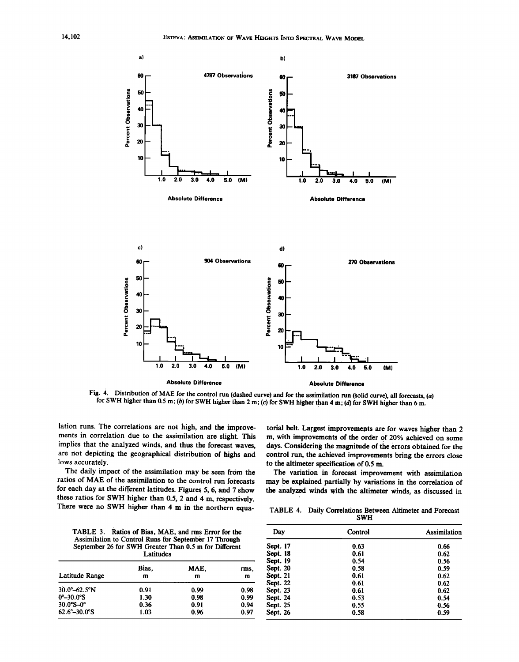

**Fig. 4. Distribution of MAE for the control run (dashed curve) and for the assimilation run (solid curve), all forecasts, (a)**  for SWH higher than 0.5 m; (b) for SWH higher than 2 m; (c) for SWH higher than 4 m; (d) for SWH higher than 6 m.

**lation runs. The correlations are not high, and the improvements in correlation due to the assimilation are slight. This implies that the analyzed winds, and thus the forecast waves, are not depicting the geographical distribution of highs and lows accurately.** 

**The daily impact of the assimilation may be seen from the ratios of MAE of the assimilation to the control run forecasts for each day at the different latitudes. Figures 5, 6, and 7 show these ratios for SWH higher than 0.5, 2 and 4 m, respectively. There were no SWH higher than 4 m in the northern equa-**

**the analyzed winds with the altimeter winds, as discussed in TABLE 4. Daily Correlations Between Altimeter and Forecast** 

**TABLE 3. Ratios of Bias, MAE, and rms Error for the Assimilation to Control Runs for September 17 Through September 26 for SWH Greater Than 0.5 m for Different Latitudes** 

| Latitude Range                  | Bias.<br>m | MAE.<br>m | rms,<br>m |
|---------------------------------|------------|-----------|-----------|
| $30.0^{\circ} - 62.5^{\circ}$ N | 0.91       | 0.99      | 0.98      |
| $0^{\circ}-30.0^{\circ}$ S      | 1.30       | 0.98      | 0.99      |
| $30.0^{\circ}S - 0^{\circ}$     | 0.36       | 0.91      | 0.94      |
| $62.6^{\circ}-30.0^{\circ}$ S   | 1.03       | 0.96      | 0.97      |

| SWH      |         |              |  |
|----------|---------|--------------|--|
| Dav      | Control | Assimilation |  |
| Sept. 17 | 0.63    | 0.66         |  |
| Sept. 18 | 0.61    | 0.62         |  |
| Sept. 19 | 0.54    | 0.56         |  |
| Sept. 20 | 0.58    | 0.59         |  |
| Sept. 21 | 0.61    | 0.62         |  |
| Sept. 22 | 0.61    | 0.62         |  |
| Sept. 23 | 0.61    | 0.62         |  |
| Sept. 24 | 0.53    | 0.54         |  |
| Sept. 25 | 0.55    | 0.56         |  |
| Sépt. 26 | 0.58    | 0.59         |  |

**torial belt. Largest improvements are for waves higher than 2 m, with improvements of the order of 20% achieved on some**  days. Considering the magnitude of the errors obtained for the **control run, the achieved improvements bring the errors close** 

**The variation in forecast improvement with assimilation may be explained partially by variations in the correlation of** 

to the altimeter specification of 0.5 m.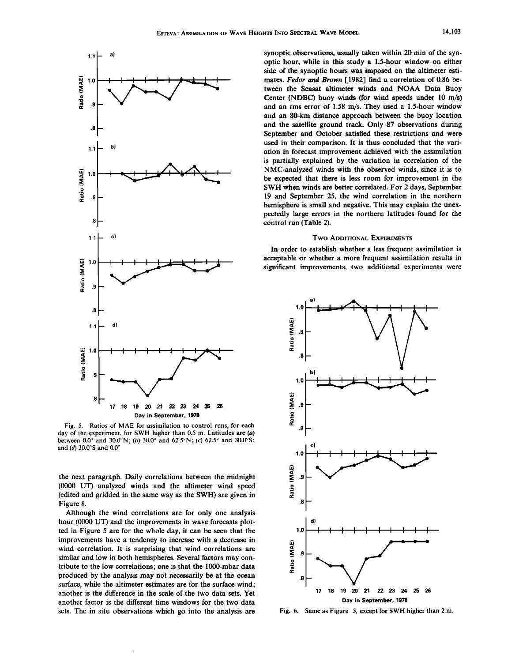

**Fig. 5. Ratios of MAE for assimilation to control runs, for each**  day of the experiment, for SWH higher than 0.5 m. Latitudes are (a) between  $0.0^{\circ}$  and  $30.0^{\circ}$ N; (b)  $30.0^{\circ}$  and  $62.5^{\circ}$ N; (c)  $62.5^{\circ}$  and  $30.0^{\circ}$ S; and (d) 30.0°S and 0.0°

**the next paragraph. Daily correlations between the midnight (0000 UT) analyzed winds and the altimeter wind speed (edited and gridded in the same way as the SWH) are given in Figure 8.** 

**Although the wind correlations are for only one analysis hour (0000 UT) and the improvements in wave forecasts plotted in Figure 5 are for the whole day, it can be seen that the improvements have a tendency to increase with a decrease in wind correlation. It is surprising that wind correlations are similar and low in both hemispheres. Several factors may contribute to the low correlations; one is that the 1000-mbar data produced by the analysis may not necessarily be at the ocean surface, while the altimeter estimates are for the surface wind; another is the difference in the scale of the two data sets. Yet another factor is the different time windows for the two data sets. The in situ observations which go into the analysis are** 

**synoptic observations, usually taken within 20 min of the synoptic hour, while in this study a 1.5-hour window on either side of the synoptic hours was imposed on the altimeter estimates. Fedor and Brown [1982] find a correlation of 0.86 between the Seasat altimeter winds and NOAA Data Buoy Center (NDBC) buoy winds (for wind speeds under 10 m/s) and an rms error of 1.58 m/s. They used a 1.5-hour window and an 80-km distance approach between the buoy location and the satellite ground track. Only 87 observations during September and October satisfied these restrictions and were used in their comparison. It is thus concluded that the variation in forecast improvement achieved with the assimilation is partially explained by the variation in correlation of the NMC-analyzed winds with the observed winds, since it is to be expected that there is less room for improvement in the SWH when winds are better correlated. For 2 days, September 19 and September 25, the wind correlation in the northern hemisphere is small and negative. This may explain the unexpectedly large errors in the northern latitudes found for the control run (Table 2).** 

#### **Two ADDITIONAL EXPERIMENTS**

**In order to establish whether a less frequent assimilation is acceptable or whether a more frequent assimilation results in significant improvements, two additional experiments were** 



**Fig. 6. Same as Figure 5, except for SWH higher than 2 m.**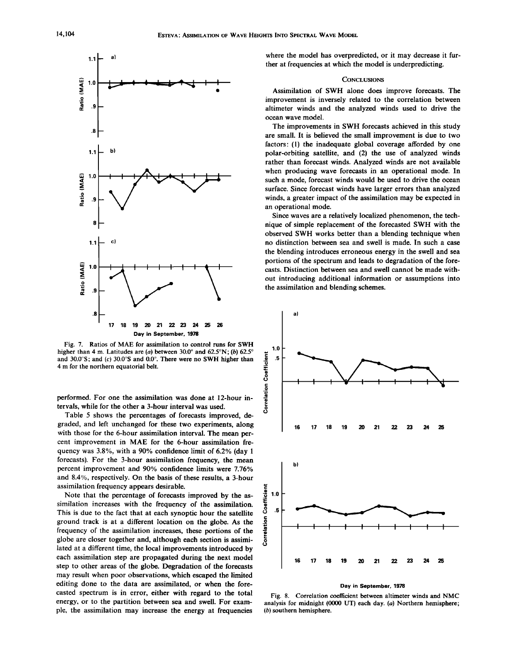

**Fig. 7. Ratios of MAE for assimilation to control runs for SWH**  higher than 4 m. Latitudes are (a) between  $30.0^{\circ}$  and  $62.5^{\circ}N$ ; (b)  $62.5^{\circ}$ and 30.0°S; and (c) 30.0°S and 0.0°. There were no SWH higher than **4 m for the northern equatorial belt.** 

**performed. For one the assimilation was done at 12-hour intervals, while for the other a 3-hour interval was used.** 

**Table 5 shows the percentages of forecasts improved, degraded, and left unchanged for these two experiments, along with those for the 6-hour assimilation interval. The mean percent improvement in MAE for the 6-hour assimilation frequency was 3.8%, with a 90% confidence limit of 6.2% (day 1 forecasts). For the 3-hour assimilation frequency, the mean percent improvement and 90% confidence limits were 7.76% and 8.4%, respectively. On the basis of these results, a 3-hour assimilation frequency appears desirable.** 

**Note that the percentage of forecasts improved by the assimilation increases with the frequency of the assimilation. This is due to the fact that at each synoptic hour the satellite ground track is at a different location on the globe. As the frequency of the assimilation increases, these portions of the globe are closer together and, although each section is assimilated at a different time, the local improvements introduced by each assimilation step are propagated during the next model step to other areas of the globe. Degradation of the forecasts may result when poor observations, which escaped the limited editing done to the data are assimilated, or when the forecasted spectrum is in error, either with regard to the total energy, or to the partition between sea and swell. For example, the assimilation may increase the energy at frequencies** 

**where the model has overpredicted, or it may decrease it further at frequencies at which the model is underpredicting.** 

## **CONCLUSIONS**

**Assimilation of SWH alone does improve forecasts. The improvement is inversely related to the correlation between altimeter winds and the analyzed winds used to drive the ocean wave model.** 

**The improvements in SWH forecasts achieved in this study are small. It is believed the small improvement is due to two factors: (1) the inadequate global coverage afforded by one polar-orbiting satellite, and (2) the use of analyzed winds rather than forecast winds. Analyzed winds are not available when producing wave forecasts in an operational mode. In such a mode, forecast winds would be used to drive the ocean surface. Since forecast winds have larger errors than analyzed winds, a greater impact of the assimilation may be expected in an operational mode.** 

**Since waves are a relatively localized phenomenon, the technique of simple replacement of the forecasted SWH with the observed SWH works better than a blending technique when no distinction between sea and swell is made. In such a case the blending introduces erroneous energy in the swell and sea portions of the spectrum and leads to degradation of the forecasts. Distinction between sea and swell cannot be made without introducing additional information or assumptions into the assimilation and blending schemes.** 



## **Day in September, 1978**

**Fig. 8. Correlation coefficient between altimeter winds and NMC analysis for midnight (0000 UT) each day. (a) Northern hemisphere; (b) southern hemisphere.**